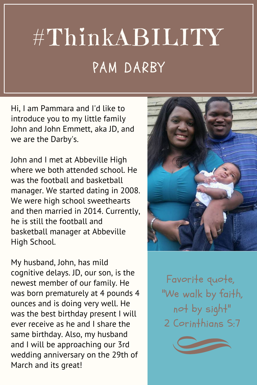## #ThinkABILITY PAM DARBY

Hi, I am Pammara and I'd like to introduce you to my little family John and John Emmett, aka JD, and we are the Darby's.

John and I met at Abbeville High where we both attended school. He was the football and basketball manager. We started dating in 2008. We were high school sweethearts and then married in 2014. Currently, he is still the football and basketball manager at Abbeville High School.

My husband, John, has mild cognitive delays. JD, our son, is the newest member of our family. He was born prematurely at 4 pounds 4 ounces and is doing very well. He was the best birthday present I will ever receive as he and I share the same birthday. Also, my husband and I will be approaching our 3rd wedding anniversary on the 29th of March and its great!



Favorite quote, "We walk by faith, not by sight" 2 Corinthians S:7